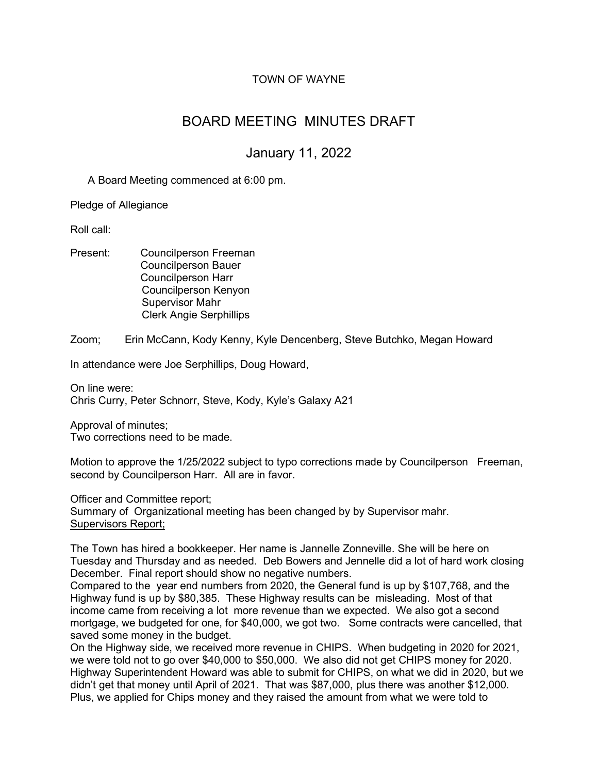# TOWN OF WAYNE

# BOARD MEETING MINUTES DRAFT

# January 11, 2022

A Board Meeting commenced at 6:00 pm.

Pledge of Allegiance

Roll call:

Present: Councilperson Freeman Councilperson Bauer Councilperson Harr Councilperson Kenyon Supervisor Mahr Clerk Angie Serphillips

Zoom; Erin McCann, Kody Kenny, Kyle Dencenberg, Steve Butchko, Megan Howard

In attendance were Joe Serphillips, Doug Howard,

On line were: Chris Curry, Peter Schnorr, Steve, Kody, Kyle's Galaxy A21

Approval of minutes; Two corrections need to be made.

Motion to approve the 1/25/2022 subject to typo corrections made by Councilperson Freeman, second by Councilperson Harr. All are in favor.

Officer and Committee report; Summary of Organizational meeting has been changed by by Supervisor mahr. Supervisors Report;

The Town has hired a bookkeeper. Her name is Jannelle Zonneville. She will be here on Tuesday and Thursday and as needed. Deb Bowers and Jennelle did a lot of hard work closing December. Final report should show no negative numbers.

Compared to the year end numbers from 2020, the General fund is up by \$107,768, and the Highway fund is up by \$80,385. These Highway results can be misleading. Most of that income came from receiving a lot more revenue than we expected. We also got a second mortgage, we budgeted for one, for \$40,000, we got two. Some contracts were cancelled, that saved some money in the budget.

On the Highway side, we received more revenue in CHIPS. When budgeting in 2020 for 2021, we were told not to go over \$40,000 to \$50,000. We also did not get CHIPS money for 2020. Highway Superintendent Howard was able to submit for CHIPS, on what we did in 2020, but we didn't get that money until April of 2021. That was \$87,000, plus there was another \$12,000. Plus, we applied for Chips money and they raised the amount from what we were told to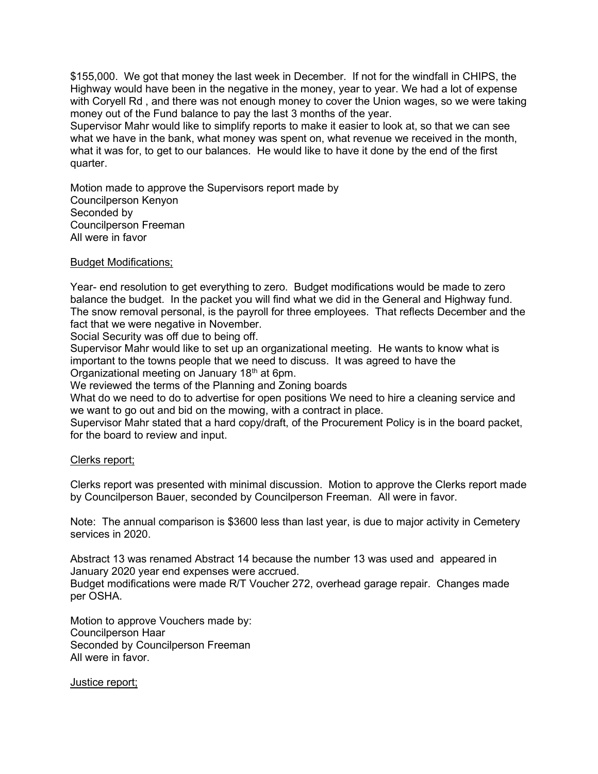\$155,000. We got that money the last week in December. If not for the windfall in CHIPS, the Highway would have been in the negative in the money, year to year. We had a lot of expense with Coryell Rd , and there was not enough money to cover the Union wages, so we were taking money out of the Fund balance to pay the last 3 months of the year.

Supervisor Mahr would like to simplify reports to make it easier to look at, so that we can see what we have in the bank, what money was spent on, what revenue we received in the month, what it was for, to get to our balances. He would like to have it done by the end of the first quarter.

Motion made to approve the Supervisors report made by Councilperson Kenyon Seconded by Councilperson Freeman All were in favor

## Budget Modifications;

Year- end resolution to get everything to zero. Budget modifications would be made to zero balance the budget. In the packet you will find what we did in the General and Highway fund. The snow removal personal, is the payroll for three employees. That reflects December and the fact that we were negative in November.

Social Security was off due to being off.

Supervisor Mahr would like to set up an organizational meeting. He wants to know what is important to the towns people that we need to discuss. It was agreed to have the Organizational meeting on January 18<sup>th</sup> at 6pm.

We reviewed the terms of the Planning and Zoning boards

What do we need to do to advertise for open positions We need to hire a cleaning service and we want to go out and bid on the mowing, with a contract in place.

Supervisor Mahr stated that a hard copy/draft, of the Procurement Policy is in the board packet, for the board to review and input.

#### Clerks report;

Clerks report was presented with minimal discussion. Motion to approve the Clerks report made by Councilperson Bauer, seconded by Councilperson Freeman. All were in favor.

Note: The annual comparison is \$3600 less than last year, is due to major activity in Cemetery services in 2020.

Abstract 13 was renamed Abstract 14 because the number 13 was used and appeared in January 2020 year end expenses were accrued.

Budget modifications were made R/T Voucher 272, overhead garage repair. Changes made per OSHA.

Motion to approve Vouchers made by: Councilperson Haar Seconded by Councilperson Freeman All were in favor.

#### Justice report;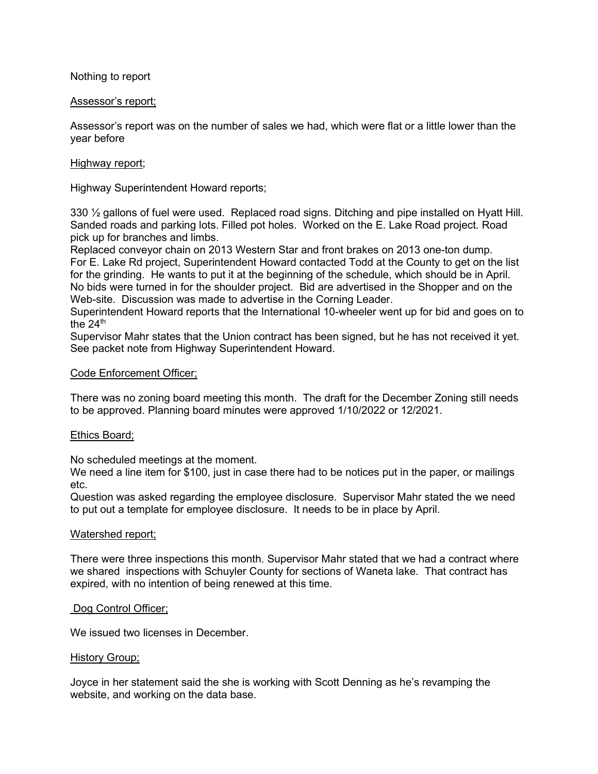Nothing to report

### Assessor's report;

Assessor's report was on the number of sales we had, which were flat or a little lower than the year before

## Highway report;

Highway Superintendent Howard reports;

330 ½ gallons of fuel were used. Replaced road signs. Ditching and pipe installed on Hyatt Hill. Sanded roads and parking lots. Filled pot holes. Worked on the E. Lake Road project. Road pick up for branches and limbs.

Replaced conveyor chain on 2013 Western Star and front brakes on 2013 one-ton dump. For E. Lake Rd project, Superintendent Howard contacted Todd at the County to get on the list for the grinding. He wants to put it at the beginning of the schedule, which should be in April. No bids were turned in for the shoulder project. Bid are advertised in the Shopper and on the Web-site. Discussion was made to advertise in the Corning Leader.

Superintendent Howard reports that the International 10-wheeler went up for bid and goes on to the 24<sup>th</sup>

Supervisor Mahr states that the Union contract has been signed, but he has not received it yet. See packet note from Highway Superintendent Howard.

#### Code Enforcement Officer;

There was no zoning board meeting this month. The draft for the December Zoning still needs to be approved. Planning board minutes were approved 1/10/2022 or 12/2021.

#### Ethics Board;

No scheduled meetings at the moment.

We need a line item for \$100, just in case there had to be notices put in the paper, or mailings etc.

Question was asked regarding the employee disclosure. Supervisor Mahr stated the we need to put out a template for employee disclosure. It needs to be in place by April.

#### Watershed report;

There were three inspections this month. Supervisor Mahr stated that we had a contract where we shared inspections with Schuyler County for sections of Waneta lake. That contract has expired, with no intention of being renewed at this time.

#### Dog Control Officer;

We issued two licenses in December.

#### History Group;

Joyce in her statement said the she is working with Scott Denning as he's revamping the website, and working on the data base.